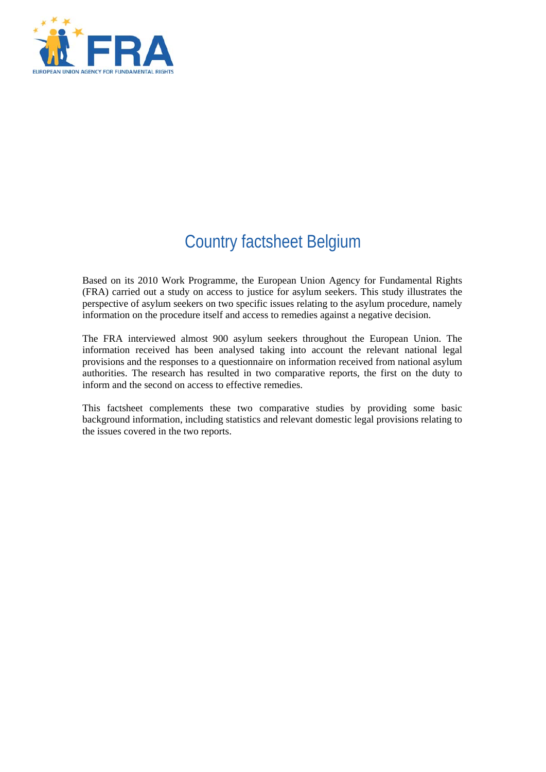

# Country factsheet Belgium

Based on its 2010 Work Programme, the European Union Agency for Fundamental Rights (FRA) carried out a study on access to justice for asylum seekers. This study illustrates the perspective of asylum seekers on two specific issues relating to the asylum procedure, namely information on the procedure itself and access to remedies against a negative decision.

The FRA interviewed almost 900 asylum seekers throughout the European Union. The information received has been analysed taking into account the relevant national legal provisions and the responses to a questionnaire on information received from national asylum authorities. The research has resulted in two comparative reports, the first on the duty to inform and the second on access to effective remedies.

This factsheet complements these two comparative studies by providing some basic background information, including statistics and relevant domestic legal provisions relating to the issues covered in the two reports.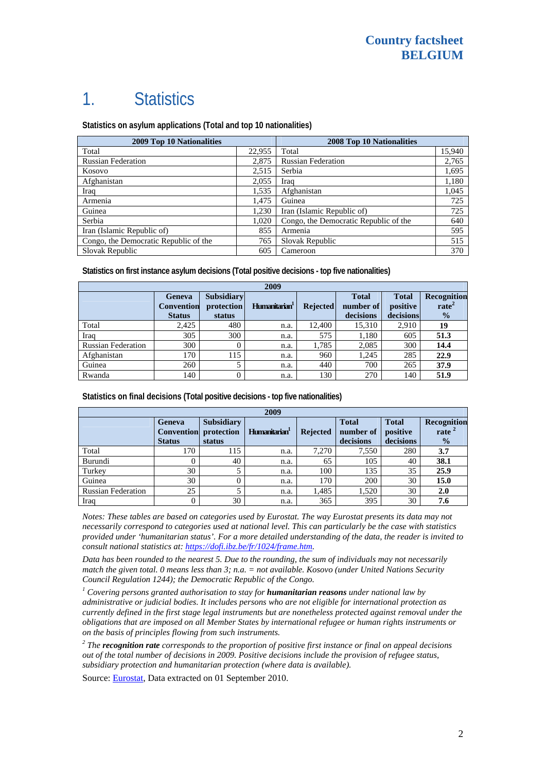# 1. Statistics

**Statistics on asylum applications (Total and top 10 nationalities)**

| <b>2009 Top 10 Nationalities</b>      | 2008 Top 10 Nationalities |                                       |        |
|---------------------------------------|---------------------------|---------------------------------------|--------|
| Total                                 | 22,955                    | Total                                 | 15,940 |
| <b>Russian Federation</b>             | 2,875                     | <b>Russian Federation</b>             | 2,765  |
| Kosovo                                | 2,515                     | Serbia                                | 1,695  |
| Afghanistan                           | 2,055                     | Iraq                                  | 1,180  |
| Iraq                                  | 1,535                     | Afghanistan                           | 1,045  |
| Armenia                               | 1,475                     | Guinea                                | 725    |
| Guinea                                | 1.230                     | Iran (Islamic Republic of)            | 725    |
| Serbia                                | 1,020                     | Congo, the Democratic Republic of the | 640    |
| Iran (Islamic Republic of)            | 855                       | Armenia                               | 595    |
| Congo, the Democratic Republic of the | 765                       | Slovak Republic                       | 515    |
| Slovak Republic                       | 605                       | Cameroon                              | 370    |

**Statistics on first instance asylum decisions (Total positive decisions - top five nationalities)**

| 2009                      |                                              |                                           |                           |                 |                                        |                                       |                                                   |
|---------------------------|----------------------------------------------|-------------------------------------------|---------------------------|-----------------|----------------------------------------|---------------------------------------|---------------------------------------------------|
|                           | Geneva<br><b>Convention</b><br><b>Status</b> | <b>Subsidiary</b><br>protection<br>status | Humanitarian <sup>1</sup> | <b>Rejected</b> | <b>Total</b><br>number of<br>decisions | <b>Total</b><br>positive<br>decisions | Recognition<br>rate <sup>2</sup><br>$\frac{0}{2}$ |
| Total                     | 2,425                                        | 480                                       | n.a.                      | 12.400          | 15,310                                 | 2,910                                 | 19                                                |
| Iraq                      | 305                                          | 300                                       | n.a.                      | 575             | 1,180                                  | 605                                   | 51.3                                              |
| <b>Russian Federation</b> | 300                                          | 0                                         | n.a.                      | 1,785           | 2,085                                  | 300                                   | 14.4                                              |
| Afghanistan               | 170                                          | 115                                       | n.a.                      | 960             | 1,245                                  | 285                                   | 22.9                                              |
| Guinea                    | 260                                          |                                           | n.a.                      | 440             | 700                                    | 265                                   | 37.9                                              |
| Rwanda                    | 140                                          |                                           | n.a.                      | 130             | 270                                    | 140                                   | 51.9                                              |

**Statistics on final decisions (Total positive decisions - top five nationalities)** 

| 2009                      |                                                     |                                           |                           |                 |                                        |                                       |                                           |
|---------------------------|-----------------------------------------------------|-------------------------------------------|---------------------------|-----------------|----------------------------------------|---------------------------------------|-------------------------------------------|
|                           | <b>Geneva</b><br><b>Convention</b><br><b>Status</b> | <b>Subsidiary</b><br>protection<br>status | Humanitarian <sup>1</sup> | <b>Rejected</b> | <b>Total</b><br>number of<br>decisions | <b>Total</b><br>positive<br>decisions | Recognition<br>rate $^2$<br>$\frac{0}{0}$ |
| Total                     | 170                                                 | 115                                       | n.a.                      | 7.270           | 7,550                                  | 280                                   | 3.7                                       |
| Burundi                   |                                                     | 40                                        | n.a.                      | 65              | 105                                    | 40                                    | 38.1                                      |
| Turkey                    | 30                                                  |                                           | n.a.                      | 100             | 135                                    | 35                                    | 25.9                                      |
| Guinea                    | 30                                                  |                                           | n.a.                      | 170             | 200                                    | 30                                    | 15.0                                      |
| <b>Russian Federation</b> | 25                                                  |                                           | n.a.                      | 1,485           | 1,520                                  | 30                                    | 2.0                                       |
| Iraq                      | 0                                                   | 30                                        | n.a.                      | 365             | 395                                    | 30                                    | 7.6                                       |

*Notes: These tables are based on categories used by Eurostat. The way Eurostat presents its data may not necessarily correspond to categories used at national level. This can particularly be the case with statistics provided under 'humanitarian status'. For a more detailed understanding of the data, the reader is invited to consult national statistics at: [https://dofi.ibz.be/fr/1024/frame.htm.](https://dofi.ibz.be/fr/1024/frame.htm)* 

*Data has been rounded to the nearest 5. Due to the rounding, the sum of individuals may not necessarily match the given total. 0 means less than 3; n.a. = not available. Kosovo (under United Nations Security Council Regulation 1244); the Democratic Republic of the Congo.* 

<sup>1</sup> Covering persons granted authorisation to stay for **humanitarian reasons** under national law by *administrative or judicial bodies. It includes persons who are not eligible for international protection as currently defined in the first stage legal instruments but are nonetheless protected against removal under the obligations that are imposed on all Member States by international refugee or human rights instruments or on the basis of principles flowing from such instruments.* 

*2 The recognition rate corresponds to the proportion of positive first instance or final on appeal decisions out of the total number of decisions in 2009. Positive decisions include the provision of refugee status, subsidiary protection and humanitarian protection (where data is available).* 

Source: **[Eurostat](http://epp.eurostat.ec.europa.eu/)**, Data extracted on 01 September 2010.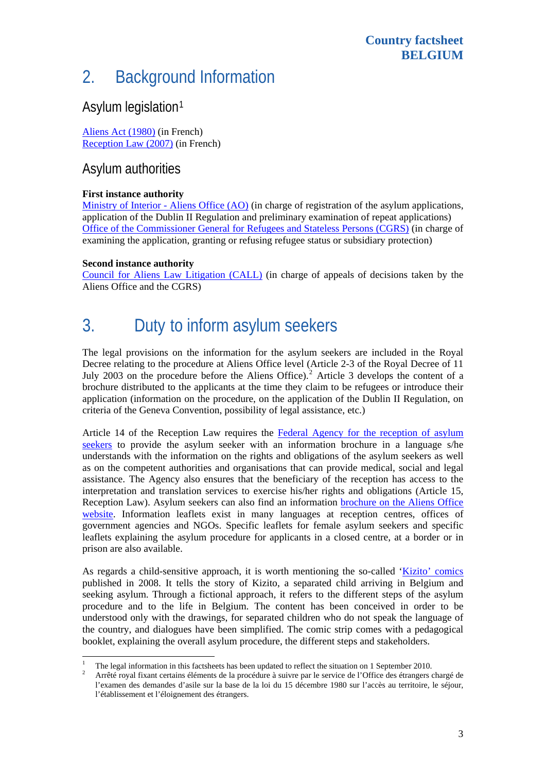#### **Country factsheet BELGIUM**

## 2. Background Information

### Asylum legislation[1](#page-2-0)

[Aliens Act \(1980\)](https://dofi.ibz.be/fr/reglementering/belgische/wet/Loi_derniere_version.pdf) (in French) [Reception Law \(2007\)](http://www.ejustice.just.fgov.be/cgi_loi/change_lg.pl?language=fr&la=F&cn=2007011252&table_name=loi) (in French)

### Asylum authorities

#### **First instance authority**

[Ministry of Interior - Aliens Office \(AO\)](http://www.dofi.fgov.be/fr/1024/frame.htm) (in charge of registration of the asylum applications, application of the Dublin II Regulation and preliminary examination of repeat applications) [Office of the Commissioner General for Refugees and Stateless Persons \(CGRS\)](http://www.cgvs.be/fr/index.jsp) (in charge of examining the application, granting or refusing refugee status or subsidiary protection)

#### **Second instance authority**

[Council for Aliens Law Litigation \(CALL\)](http://www.cce-rvv.be/index.asp) (in charge of appeals of decisions taken by the Aliens Office and the CGRS)

## 3. Duty to inform asylum seekers

The legal provisions on the information for the asylum seekers are included in the Royal Decree relating to the procedure at Aliens Office level (Article 2-3 of the Royal Decree of 11 July [2](#page-2-1)003 on the procedure before the Aliens Office).<sup>2</sup> Article 3 develops the content of a brochure distributed to the applicants at the time they claim to be refugees or introduce their application (information on the procedure, on the application of the Dublin II Regulation, on criteria of the Geneva Convention, possibility of legal assistance, etc.)

Article 14 of the Reception Law requires the [Federal Agency for the reception of asylum](http://www.fedasil.be/)  [seekers](http://www.fedasil.be/) to provide the asylum seeker with an information brochure in a language s/he understands with the information on the rights and obligations of the asylum seekers as well as on the competent authorities and organisations that can provide medical, social and legal assistance. The Agency also ensures that the beneficiary of the reception has access to the interpretation and translation services to exercise his/her rights and obligations (Article 15, Reception Law). Asylum seekers can also find an information [brochure on the Aliens Office](http://www.dofi.fgov.be/fr/asiel/Asielbrochure2007FR.pdf)  [website](http://www.dofi.fgov.be/fr/asiel/Asielbrochure2007FR.pdf). Information leaflets exist in many languages at reception centres, offices of government agencies and NGOs. Specific leaflets for female asylum seekers and specific leaflets explaining the asylum procedure for applicants in a closed centre, at a border or in prison are also available.

As regards a child-sensitive approach, it is worth mentioning the so-called '[Kizito' comics](http://www.cgvs.be/fr/binaries/Couverture%20de%20la%20BD_tcm126-18333.pdf) published in 2008. It tells the story of Kizito, a separated child arriving in Belgium and seeking asylum. Through a fictional approach, it refers to the different steps of the asylum procedure and to the life in Belgium. The content has been conceived in order to be understood only with the drawings, for separated children who do not speak the language of the country, and dialogues have been simplified. The comic strip comes with a pedagogical booklet, explaining the overall asylum procedure, the different steps and stakeholders.

<span id="page-2-0"></span>l 1 <sup>1</sup> The legal information in this factsheets has been updated to reflect the situation on 1 September 2010.

<span id="page-2-1"></span>Arrêté royal fixant certains éléments de la procédure à suivre par le service de l'Office des étrangers chargé de l'examen des demandes d'asile sur la base de la loi du 15 décembre 1980 sur l'accès au territoire, le séjour, l'établissement et l'éloignement des étrangers.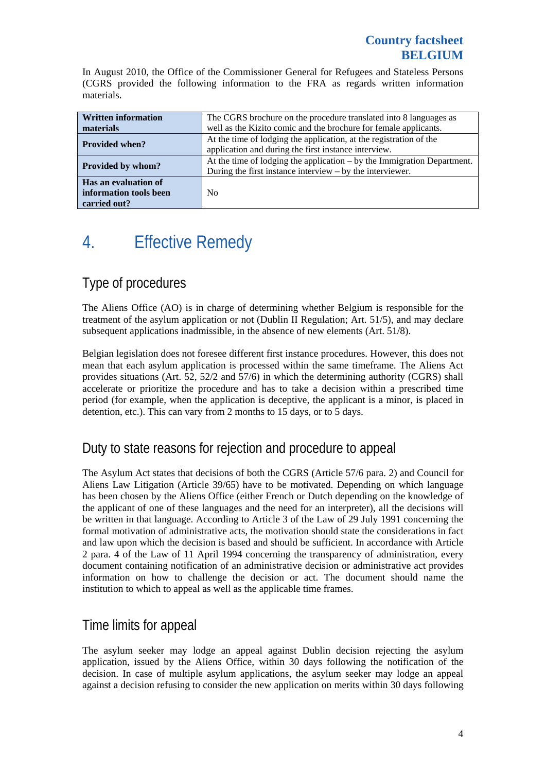In August 2010, the Office of the Commissioner General for Refugees and Stateless Persons (CGRS provided the following information to the FRA as regards written information materials.

| <b>Written information</b> | The CGRS brochure on the procedure translated into 8 languages as         |  |  |  |
|----------------------------|---------------------------------------------------------------------------|--|--|--|
| materials                  | well as the Kizito comic and the brochure for female applicants.          |  |  |  |
| <b>Provided when?</b>      | At the time of lodging the application, at the registration of the        |  |  |  |
|                            | application and during the first instance interview.                      |  |  |  |
| Provided by whom?          | At the time of lodging the application $-$ by the Immigration Department. |  |  |  |
|                            | During the first instance interview $-$ by the interviewer.               |  |  |  |
| Has an evaluation of       |                                                                           |  |  |  |
| information tools been     | N <sub>0</sub>                                                            |  |  |  |
| carried out?               |                                                                           |  |  |  |

# 4. Effective Remedy

### Type of procedures

The Aliens Office (AO) is in charge of determining whether Belgium is responsible for the treatment of the asylum application or not (Dublin II Regulation; Art. 51/5), and may declare subsequent applications inadmissible, in the absence of new elements (Art. 51/8).

Belgian legislation does not foresee different first instance procedures. However, this does not mean that each asylum application is processed within the same timeframe. The Aliens Act provides situations (Art. 52, 52/2 and 57/6) in which the determining authority (CGRS) shall accelerate or prioritize the procedure and has to take a decision within a prescribed time period (for example, when the application is deceptive, the applicant is a minor, is placed in detention, etc.). This can vary from 2 months to 15 days, or to 5 days.

### Duty to state reasons for rejection and procedure to appeal

The Asylum Act states that decisions of both the CGRS (Article 57/6 para. 2) and Council for Aliens Law Litigation (Article 39/65) have to be motivated. Depending on which language has been chosen by the Aliens Office (either French or Dutch depending on the knowledge of the applicant of one of these languages and the need for an interpreter), all the decisions will be written in that language. According to Article 3 of the Law of 29 July 1991 concerning the formal motivation of administrative acts, the motivation should state the considerations in fact and law upon which the decision is based and should be sufficient. In accordance with Article 2 para. 4 of the Law of 11 April 1994 concerning the transparency of administration, every document containing notification of an administrative decision or administrative act provides information on how to challenge the decision or act. The document should name the institution to which to appeal as well as the applicable time frames.

### Time limits for appeal

The asylum seeker may lodge an appeal against Dublin decision rejecting the asylum application, issued by the Aliens Office, within 30 days following the notification of the decision. In case of multiple asylum applications, the asylum seeker may lodge an appeal against a decision refusing to consider the new application on merits within 30 days following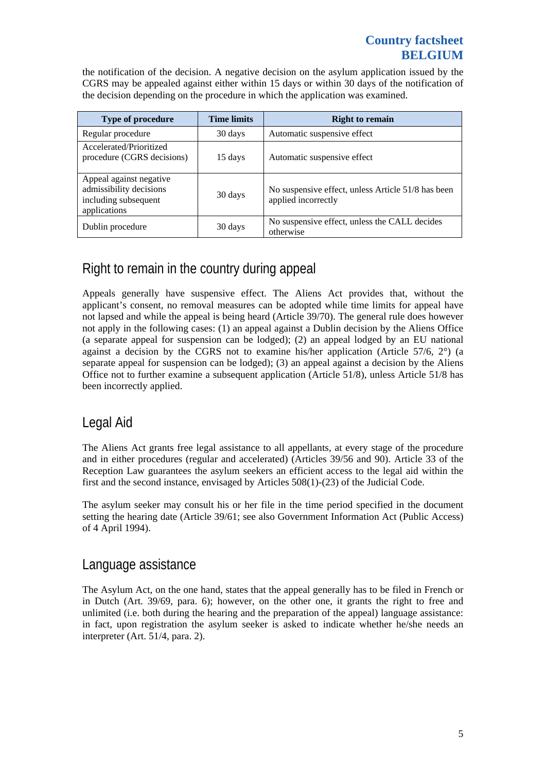#### **Country factsheet BELGIUM**

the notification of the decision. A negative decision on the asylum application issued by the CGRS may be appealed against either within 15 days or within 30 days of the notification of the decision depending on the procedure in which the application was examined.

| <b>Type of procedure</b>                                                                   | <b>Time limits</b> | <b>Right to remain</b>                                                    |
|--------------------------------------------------------------------------------------------|--------------------|---------------------------------------------------------------------------|
| Regular procedure                                                                          | 30 days            | Automatic suspensive effect                                               |
| Accelerated/Prioritized<br>procedure (CGRS decisions)                                      | 15 days            | Automatic suspensive effect                                               |
| Appeal against negative<br>admissibility decisions<br>including subsequent<br>applications | 30 days            | No suspensive effect, unless Article 51/8 has been<br>applied incorrectly |
| Dublin procedure                                                                           | 30 days            | No suspensive effect, unless the CALL decides<br>otherwise                |

### Right to remain in the country during appeal

Appeals generally have suspensive effect. The Aliens Act provides that, without the applicant's consent, no removal measures can be adopted while time limits for appeal have not lapsed and while the appeal is being heard (Article 39/70). The general rule does however not apply in the following cases: (1) an appeal against a Dublin decision by the Aliens Office (a separate appeal for suspension can be lodged); (2) an appeal lodged by an EU national against a decision by the CGRS not to examine his/her application (Article 57/6, 2°) (a separate appeal for suspension can be lodged); (3) an appeal against a decision by the Aliens Office not to further examine a subsequent application (Article 51/8), unless Article 51/8 has been incorrectly applied.

### Legal Aid

The Aliens Act grants free legal assistance to all appellants, at every stage of the procedure and in either procedures (regular and accelerated) (Articles 39/56 and 90). Article 33 of the Reception Law guarantees the asylum seekers an efficient access to the legal aid within the first and the second instance, envisaged by Articles 508(1)-(23) of the Judicial Code.

The asylum seeker may consult his or her file in the time period specified in the document setting the hearing date (Article 39/61; see also Government Information Act (Public Access) of 4 April 1994).

#### Language assistance

The Asylum Act, on the one hand, states that the appeal generally has to be filed in French or in Dutch (Art. 39/69, para. 6); however, on the other one, it grants the right to free and unlimited (i.e. both during the hearing and the preparation of the appeal) language assistance: in fact, upon registration the asylum seeker is asked to indicate whether he/she needs an interpreter (Art. 51/4, para. 2).